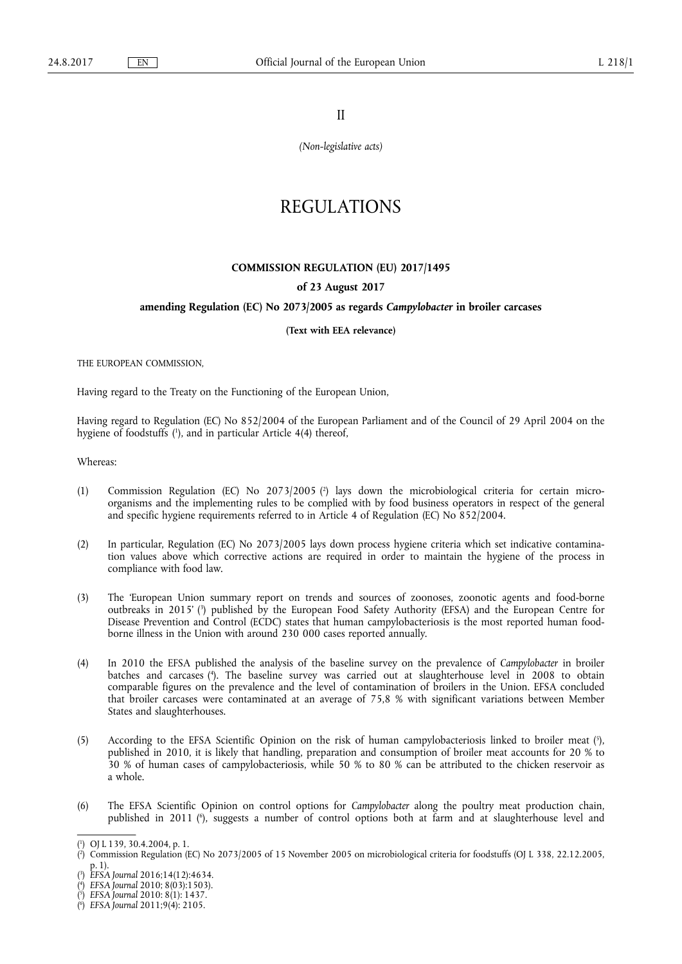II

*(Non-legislative acts)* 

# REGULATIONS

### **COMMISSION REGULATION (EU) 2017/1495**

# **of 23 August 2017**

## **amending Regulation (EC) No 2073/2005 as regards** *Campylobacter* **in broiler carcases**

#### **(Text with EEA relevance)**

THE EUROPEAN COMMISSION,

Having regard to the Treaty on the Functioning of the European Union,

Having regard to Regulation (EC) No 852/2004 of the European Parliament and of the Council of 29 April 2004 on the hygiene of foodstuffs ( 1 ), and in particular Article 4(4) thereof,

Whereas:

- (1) Commission Regulation (EC) No 2073/2005 ( 2 ) lays down the microbiological criteria for certain microorganisms and the implementing rules to be complied with by food business operators in respect of the general and specific hygiene requirements referred to in Article 4 of Regulation (EC) No 852/2004.
- (2) In particular, Regulation (EC) No 2073/2005 lays down process hygiene criteria which set indicative contamination values above which corrective actions are required in order to maintain the hygiene of the process in compliance with food law.
- (3) The 'European Union summary report on trends and sources of zoonoses, zoonotic agents and food-borne outbreaks in 2015' ( 3 ) published by the European Food Safety Authority (EFSA) and the European Centre for Disease Prevention and Control (ECDC) states that human campylobacteriosis is the most reported human foodborne illness in the Union with around 230 000 cases reported annually.
- (4) In 2010 the EFSA published the analysis of the baseline survey on the prevalence of *Campylobacter* in broiler batches and carcases ( 4 ). The baseline survey was carried out at slaughterhouse level in 2008 to obtain comparable figures on the prevalence and the level of contamination of broilers in the Union. EFSA concluded that broiler carcases were contaminated at an average of 75,8 % with significant variations between Member States and slaughterhouses.
- (5) According to the EFSA Scientific Opinion on the risk of human campylobacteriosis linked to broiler meat ( 5 ), published in 2010, it is likely that handling, preparation and consumption of broiler meat accounts for 20 % to 30 % of human cases of campylobacteriosis, while 50 % to 80 % can be attributed to the chicken reservoir as a whole.
- (6) The EFSA Scientific Opinion on control options for *Campylobacter* along the poultry meat production chain, published in 2011 ( 6 ), suggests a number of control options both at farm and at slaughterhouse level and

<sup>(</sup> 1 ) OJ L 139, 30.4.2004, p. 1.

<sup>(</sup> 2 ) Commission Regulation (EC) No 2073/2005 of 15 November 2005 on microbiological criteria for foodstuffs (OJ L 338, 22.12.2005, p. 1).

<sup>(</sup> 3 ) *EFSA Journal* 2016;14(12):4634.

<sup>(</sup> 4 ) *EFSA Journal* 2010; 8(03):1503).

<sup>(</sup> 5 ) *EFSA Journal* 2010: 8(1): 1437.

<sup>(</sup> 6 ) *EFSA Journal* 2011;9(4): 2105.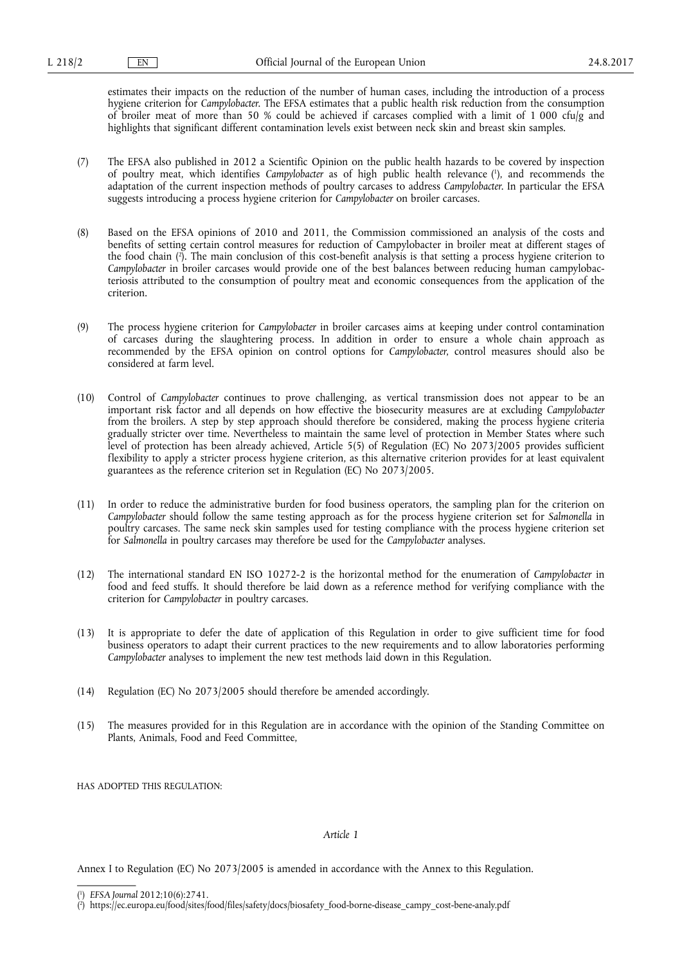estimates their impacts on the reduction of the number of human cases, including the introduction of a process hygiene criterion for *Campylobacter*. The EFSA estimates that a public health risk reduction from the consumption of broiler meat of more than 50 % could be achieved if carcases complied with a limit of 1 000 cfu/g and highlights that significant different contamination levels exist between neck skin and breast skin samples.

- (7) The EFSA also published in 2012 a Scientific Opinion on the public health hazards to be covered by inspection of poultry meat, which identifies *Campylobacter* as of high public health relevance ( 1 ), and recommends the adaptation of the current inspection methods of poultry carcases to address *Campylobacter*. In particular the EFSA suggests introducing a process hygiene criterion for *Campylobacter* on broiler carcases.
- (8) Based on the EFSA opinions of 2010 and 2011, the Commission commissioned an analysis of the costs and benefits of setting certain control measures for reduction of Campylobacter in broiler meat at different stages of the food chain ( 2 ). The main conclusion of this cost-benefit analysis is that setting a process hygiene criterion to *Campylobacter* in broiler carcases would provide one of the best balances between reducing human campylobacteriosis attributed to the consumption of poultry meat and economic consequences from the application of the criterion.
- (9) The process hygiene criterion for *Campylobacter* in broiler carcases aims at keeping under control contamination of carcases during the slaughtering process. In addition in order to ensure a whole chain approach as recommended by the EFSA opinion on control options for *Campylobacter*, control measures should also be considered at farm level.
- (10) Control of *Campylobacter* continues to prove challenging, as vertical transmission does not appear to be an important risk factor and all depends on how effective the biosecurity measures are at excluding *Campylobacter*  from the broilers. A step by step approach should therefore be considered, making the process hygiene criteria gradually stricter over time. Nevertheless to maintain the same level of protection in Member States where such level of protection has been already achieved, Article 5(5) of Regulation (EC) No 2073/2005 provides sufficient flexibility to apply a stricter process hygiene criterion, as this alternative criterion provides for at least equivalent guarantees as the reference criterion set in Regulation (EC) No 2073/2005.
- (11) In order to reduce the administrative burden for food business operators, the sampling plan for the criterion on *Campylobacter* should follow the same testing approach as for the process hygiene criterion set for *Salmonella* in poultry carcases. The same neck skin samples used for testing compliance with the process hygiene criterion set for *Salmonella* in poultry carcases may therefore be used for the *Campylobacter* analyses.
- (12) The international standard EN ISO 10272-2 is the horizontal method for the enumeration of *Campylobacter* in food and feed stuffs. It should therefore be laid down as a reference method for verifying compliance with the criterion for *Campylobacter* in poultry carcases.
- (13) It is appropriate to defer the date of application of this Regulation in order to give sufficient time for food business operators to adapt their current practices to the new requirements and to allow laboratories performing *Campylobacter* analyses to implement the new test methods laid down in this Regulation.
- (14) Regulation (EC) No 2073/2005 should therefore be amended accordingly.
- (15) The measures provided for in this Regulation are in accordance with the opinion of the Standing Committee on Plants, Animals, Food and Feed Committee,

HAS ADOPTED THIS REGULATION:

#### *Article 1*

Annex I to Regulation (EC) No 2073/2005 is amended in accordance with the Annex to this Regulation.

<sup>(</sup> 1 ) *EFSA Journal* 2012;10(6):2741.

<sup>(</sup> 2 ) [https://ec.europa.eu/food/sites/food/files/safety/docs/biosafety\\_food-borne-disease\\_campy\\_cost-bene-analy.pdf](https://ec.europa.eu/food/sites/food/files/safety/docs/biosafety_food-borne-disease_campy_cost-bene-analy.pdf)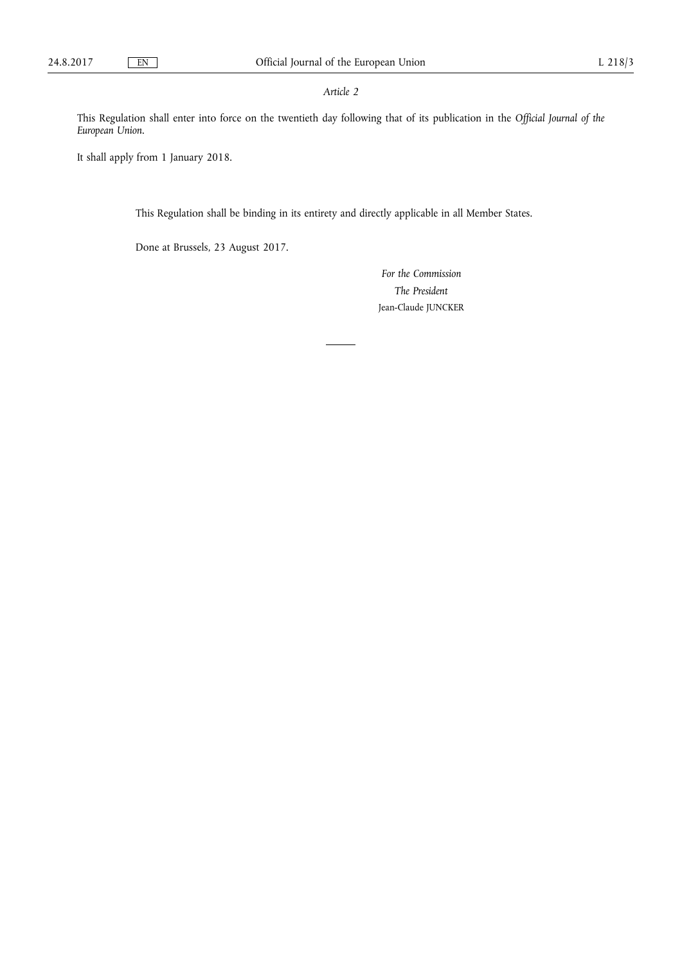# *Article 2*

This Regulation shall enter into force on the twentieth day following that of its publication in the *Official Journal of the European Union*.

It shall apply from 1 January 2018.

This Regulation shall be binding in its entirety and directly applicable in all Member States.

Done at Brussels, 23 August 2017.

*For the Commission The President*  Jean-Claude JUNCKER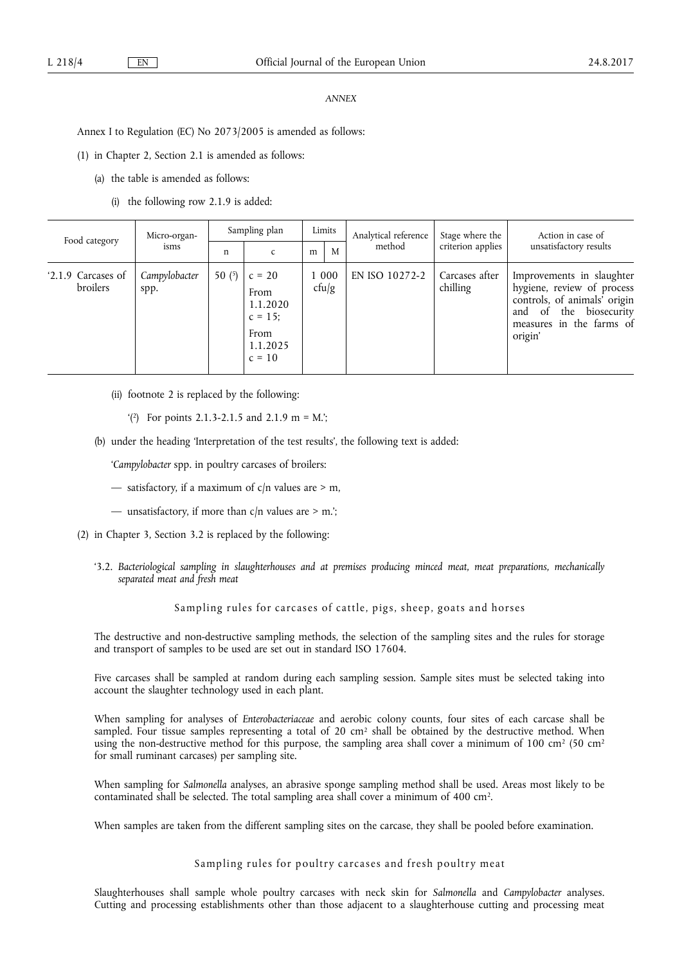## *ANNEX*

Annex I to Regulation (EC) No 2073/2005 is amended as follows:

(1) in Chapter 2, Section 2.1 is amended as follows:

- (a) the table is amended as follows:
	- (i) the following row 2.1.9 is added:

| Food category                  | Micro-organ-<br>isms  | Sampling plan |                                                                            | Limits         |   | Analytical reference | Stage where the            | Action in case of                                                                                                                                                             |
|--------------------------------|-----------------------|---------------|----------------------------------------------------------------------------|----------------|---|----------------------|----------------------------|-------------------------------------------------------------------------------------------------------------------------------------------------------------------------------|
|                                |                       | n             |                                                                            | m              | M | method               | criterion applies          | unsatisfactory results                                                                                                                                                        |
| '2.1.9 Carcases of<br>broilers | Campylobacter<br>spp. | 50 $(5)$      | $c = 20$<br>From<br>1.1.2020<br>$c = 15$ ;<br>From<br>1.1.2025<br>$c = 10$ | 1 000<br>cfu/g |   | EN ISO 10272-2       | Carcases after<br>chilling | Improvements in slaughter<br>hygiene, review of process<br>controls, of animals <sup>7</sup> origin<br>biosecurity<br>the<br>of<br>and<br>measures in the farms of<br>origin' |

- (ii) footnote 2 is replaced by the following:
	- $(2)$  For points 2.1.3-2.1.5 and 2.1.9 m = M.';
- (b) under the heading 'Interpretation of the test results', the following text is added:
	- '*Campylobacter* spp. in poultry carcases of broilers:
	- satisfactory, if a maximum of  $c/n$  values are  $> m$ ,
	- unsatisfactory, if more than  $c/n$  values are > m.';
- (2) in Chapter 3, Section 3.2 is replaced by the following:
	- '3.2. *Bacteriological sampling in slaughterhouses and at premises producing minced meat, meat preparations, mechanically separated meat and fresh meat*

# Sampling rules for carcases of cattle, pigs, sheep, goats and horses

The destructive and non-destructive sampling methods, the selection of the sampling sites and the rules for storage and transport of samples to be used are set out in standard ISO 17604.

Five carcases shall be sampled at random during each sampling session. Sample sites must be selected taking into account the slaughter technology used in each plant.

When sampling for analyses of *Enterobacteriaceae* and aerobic colony counts, four sites of each carcase shall be sampled. Four tissue samples representing a total of 20 cm<sup>2</sup> shall be obtained by the destructive method. When using the non-destructive method for this purpose, the sampling area shall cover a minimum of 100 cm<sup>2</sup> (50 cm<sup>2</sup> for small ruminant carcases) per sampling site.

When sampling for *Salmonella* analyses, an abrasive sponge sampling method shall be used. Areas most likely to be contaminated shall be selected. The total sampling area shall cover a minimum of 400 cm2.

When samples are taken from the different sampling sites on the carcase, they shall be pooled before examination.

Sampling rules for poultry carcases and fresh poultry meat

Slaughterhouses shall sample whole poultry carcases with neck skin for *Salmonella* and *Campylobacter* analyses. Cutting and processing establishments other than those adjacent to a slaughterhouse cutting and processing meat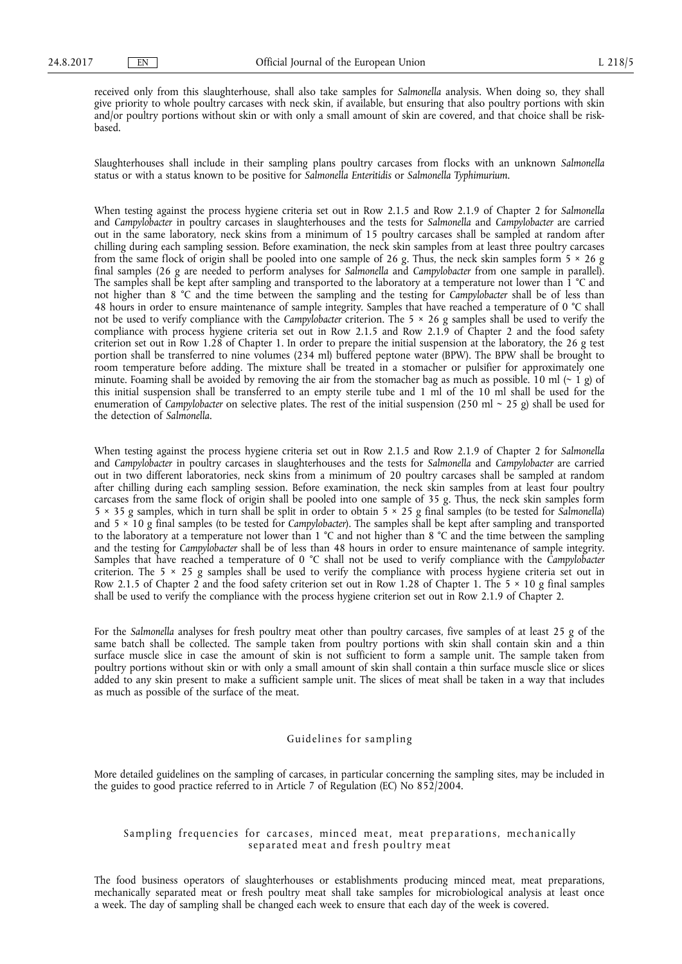received only from this slaughterhouse, shall also take samples for *Salmonella* analysis. When doing so, they shall give priority to whole poultry carcases with neck skin, if available, but ensuring that also poultry portions with skin and/or poultry portions without skin or with only a small amount of skin are covered, and that choice shall be riskbased.

Slaughterhouses shall include in their sampling plans poultry carcases from flocks with an unknown *Salmonella*  status or with a status known to be positive for *Salmonella Enteritidis* or *Salmonella Typhimurium*.

When testing against the process hygiene criteria set out in Row 2.1.5 and Row 2.1.9 of Chapter 2 for *Salmonella*  and *Campylobacter* in poultry carcases in slaughterhouses and the tests for *Salmonella* and *Campylobacter* are carried out in the same laboratory, neck skins from a minimum of 15 poultry carcases shall be sampled at random after chilling during each sampling session. Before examination, the neck skin samples from at least three poultry carcases from the same flock of origin shall be pooled into one sample of 26 g. Thus, the neck skin samples form  $5 \times 26$  g final samples (26 g are needed to perform analyses for *Salmonella* and *Campylobacter* from one sample in parallel). The samples shall be kept after sampling and transported to the laboratory at a temperature not lower than 1 °C and not higher than 8 °C and the time between the sampling and the testing for *Campylobacter* shall be of less than 48 hours in order to ensure maintenance of sample integrity. Samples that have reached a temperature of 0 °C shall not be used to verify compliance with the *Campylobacter* criterion. The 5 × 26 g samples shall be used to verify the compliance with process hygiene criteria set out in Row 2.1.5 and Row 2.1.9 of Chapter 2 and the food safety criterion set out in Row 1.28 of Chapter 1. In order to prepare the initial suspension at the laboratory, the 26 g test portion shall be transferred to nine volumes (234 ml) buffered peptone water (BPW). The BPW shall be brought to room temperature before adding. The mixture shall be treated in a stomacher or pulsifier for approximately one minute. Foaming shall be avoided by removing the air from the stomacher bag as much as possible. 10 ml  $(\sim 1 \text{ g})$  of this initial suspension shall be transferred to an empty sterile tube and 1 ml of the 10 ml shall be used for the enumeration of *Campylobacter* on selective plates. The rest of the initial suspension (250 ml ~ 25 g) shall be used for the detection of *Salmonella*.

When testing against the process hygiene criteria set out in Row 2.1.5 and Row 2.1.9 of Chapter 2 for *Salmonella*  and *Campylobacter* in poultry carcases in slaughterhouses and the tests for *Salmonella* and *Campylobacter* are carried out in two different laboratories, neck skins from a minimum of 20 poultry carcases shall be sampled at random after chilling during each sampling session. Before examination, the neck skin samples from at least four poultry carcases from the same flock of origin shall be pooled into one sample of 35 g. Thus, the neck skin samples form 5 × 35 g samples, which in turn shall be split in order to obtain 5 × 25 g final samples (to be tested for *Salmonella*) and 5 × 10 g final samples (to be tested for *Campylobacter*). The samples shall be kept after sampling and transported to the laboratory at a temperature not lower than 1 °C and not higher than 8 °C and the time between the sampling and the testing for *Campylobacter* shall be of less than 48 hours in order to ensure maintenance of sample integrity. Samples that have reached a temperature of 0 °C shall not be used to verify compliance with the *Campylobacter*  criterion. The 5  $\times$  25 g samples shall be used to verify the compliance with process hygiene criteria set out in Row 2.1.5 of Chapter 2 and the food safety criterion set out in Row 1.28 of Chapter 1. The 5 × 10 g final samples shall be used to verify the compliance with the process hygiene criterion set out in Row 2.1.9 of Chapter 2.

For the *Salmonella* analyses for fresh poultry meat other than poultry carcases, five samples of at least 25 g of the same batch shall be collected. The sample taken from poultry portions with skin shall contain skin and a thin surface muscle slice in case the amount of skin is not sufficient to form a sample unit. The sample taken from poultry portions without skin or with only a small amount of skin shall contain a thin surface muscle slice or slices added to any skin present to make a sufficient sample unit. The slices of meat shall be taken in a way that includes as much as possible of the surface of the meat.

## Guidelines for sampling

More detailed guidelines on the sampling of carcases, in particular concerning the sampling sites, may be included in the guides to good practice referred to in Article 7 of Regulation (EC) No 852/2004.

# Sampling frequencies for carcases, minced meat, meat preparations, mechanically separated meat and fresh poultry meat

The food business operators of slaughterhouses or establishments producing minced meat, meat preparations, mechanically separated meat or fresh poultry meat shall take samples for microbiological analysis at least once a week. The day of sampling shall be changed each week to ensure that each day of the week is covered.